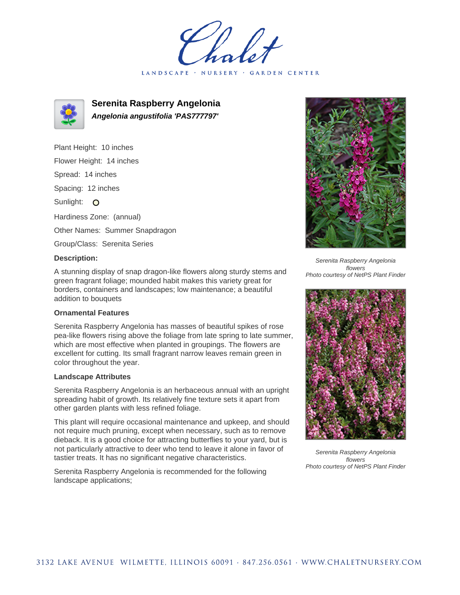LANDSCAPE · NURSERY · GARDEN CENTER



**Serenita Raspberry Angelonia Angelonia angustifolia 'PAS777797'**

Plant Height: 10 inches Flower Height: 14 inches Spread: 14 inches Spacing: 12 inches Sunlight: O Hardiness Zone: (annual) Other Names: Summer Snapdragon Group/Class: Serenita Series

## **Description:**

A stunning display of snap dragon-like flowers along sturdy stems and green fragrant foliage; mounded habit makes this variety great for borders, containers and landscapes; low maintenance; a beautiful addition to bouquets

## **Ornamental Features**

Serenita Raspberry Angelonia has masses of beautiful spikes of rose pea-like flowers rising above the foliage from late spring to late summer, which are most effective when planted in groupings. The flowers are excellent for cutting. Its small fragrant narrow leaves remain green in color throughout the year.

## **Landscape Attributes**

Serenita Raspberry Angelonia is an herbaceous annual with an upright spreading habit of growth. Its relatively fine texture sets it apart from other garden plants with less refined foliage.

This plant will require occasional maintenance and upkeep, and should not require much pruning, except when necessary, such as to remove dieback. It is a good choice for attracting butterflies to your yard, but is not particularly attractive to deer who tend to leave it alone in favor of tastier treats. It has no significant negative characteristics.

Serenita Raspberry Angelonia is recommended for the following landscape applications;



Serenita Raspberry Angelonia flowers Photo courtesy of NetPS Plant Finder



Serenita Raspberry Angelonia flowers Photo courtesy of NetPS Plant Finder